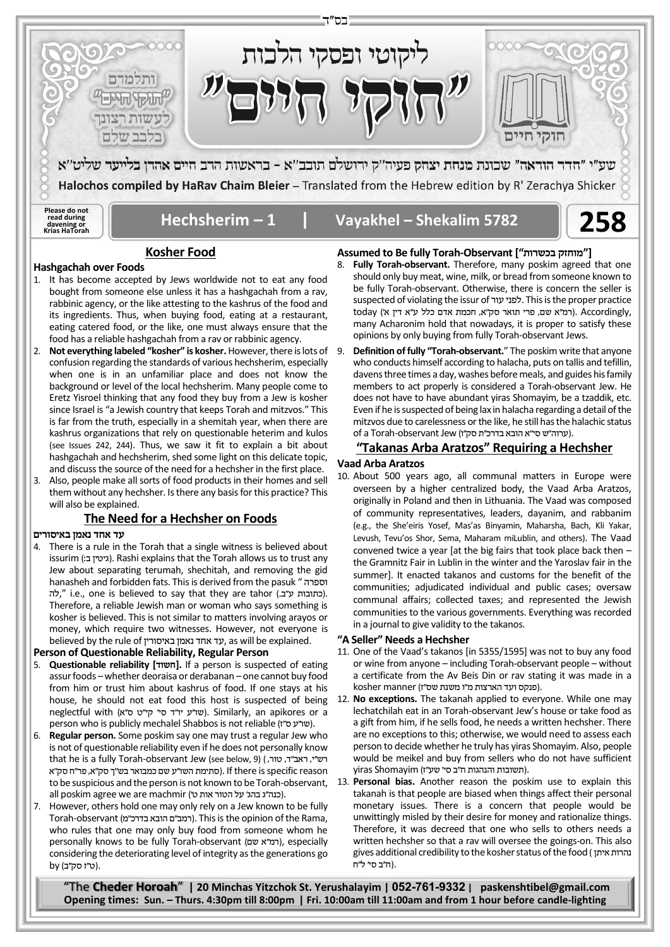

#### **Hashgachah over Foods**

- 1. It has become accepted by Jews worldwide not to eat any food bought from someone else unless it has a hashgachah from a rav, rabbinic agency, or the like attesting to the kashrus of the food and its ingredients. Thus, when buying food, eating at a restaurant, eating catered food, or the like, one must always ensure that the food has a reliable hashgachah from a rav or rabbinic agency.
- 2. **Not everything labeled "kosher" is kosher.** However, there is lots of confusion regarding the standards of various hechsherim, especially when one is in an unfamiliar place and does not know the background or level of the local hechsherim. Many people come to Eretz Yisroel thinking that any food they buy from a Jew is kosher since Israel is "a Jewish country that keeps Torah and mitzvos." This is far from the truth, especially in a shemitah year, when there are kashrus organizations that rely on questionable heterim and kulos (see Issues 242, 244). Thus, we saw it fit to explain a bit about hashgachah and hechsherim, shed some light on this delicate topic, and discuss the source of the need for a hechsher in the first place.
- 3. Also, people make all sorts of food products in their homes and sell them without any hechsher. Is there any basis for this practice? This will also be explained.

### **The Need for a Hechsher on Foods**

### **עד אחד נאמן באיסורים**

4. There is a rule in the Torah that a single witness is believed about issurim (גיטין בי). Rashi explains that the Torah allows us to trust any Jew about separating terumah, shechitah, and removing the gid hanasheh and forbidden fats. This is derived from the pasuk " וספרה לה," i.e., one is believed to say that they are tahor (כתובות ע"ב.). Therefore, a reliable Jewish man or woman who says something is kosher is believed. This is not similar to matters involving arayos or money, which require two witnesses. However, not everyone is believed by the rule of באיסורין נאמן אחד ד ע, as will be explained.

#### **Person of Questionable Reliability, Regular Person**

- 5. **Questionable reliability [ חשוד[.** If a person is suspected of eating assur foods –whether deoraisa or derabanan – one cannot buy food from him or trust him about kashrus of food. If one stays at his house, he should not eat food this host is suspected of being neglectful with (שו"ע יו"ד סי' קי"ט ס"א). Similarly, an apikores or a person who is publicly mechalel Shabbos is not reliable (שו"ע ס"ז).
- 6. **Regular person.** Some poskim say one may trust a regular Jew who is not of questionable reliability even if he does not personally know that he is a fully Torah-observant Jew (see below, 9) ( רש"י, ראב"ד, טור, reason specific is there If .)סתימת השו''ע שם כמבואר בש''ך סק''א, פר''ח סק''א to be suspicious and the person is not known to be Torah-observant, all poskim agree we are machmir (כנה"ג בהג' על הטור אות ט').
- 7. However, others hold one may only rely on a Jew known to be fully Torah-observant (רמב"ם הובא בדרכ"מ). This is the opinion of the Rama, who rules that one may only buy food from someone whom he personally knows to be fully Torah-observant (רמ"א שם), especially considering the deteriorating level of integrity as the generations go by (ט"ז סק"ב).

# **Assumed to Be fully Torah-Observant [" בכשרות מוחזק["**

- Fully Torah-observant. Therefore, many poskim agreed that one should only buy meat, wine, milk, or bread from someone known to be fully Torah-observant. Otherwise, there is concern the seller is suspected of violating the issur of עור לפני. This is the proper practice today (רמ"א שם, פרי תואר סק"א, חכמת אדם כלל ע"א דין א'). Accordingly, many Acharonim hold that nowadays, it is proper to satisfy these opinions by only buying from fully Torah-observant Jews.
- 9. **Definition of fully "Torah-observant.**" The poskim write that anyone who conducts himself according to halacha, puts on tallis and tefillin, davens three times a day, washes before meals, and guides his family members to act properly is considered a Torah-observant Jew. He does not have to have abundant yiras Shomayim, be a tzaddik, etc. Even if he is suspected of being lax in halacha regarding a detail of the mitzvos due to carelessness or the like, he still has the halachic status of a Torah-observant Jew (ערוה"ש סי"א הובא בדרכ"ת סק"ו).

## **"Takanas Arba Aratzos" Requiring a Hechsher**

#### **Vaad Arba Aratzos**

10. About 500 years ago, all communal matters in Europe were overseen by a higher centralized body, the Vaad Arba Aratzos, originally in Poland and then in Lithuania. The Vaad was composed of community representatives, leaders, dayanim, and rabbanim (e.g., the She'eiris Yosef, Mas'as Binyamin, Maharsha, Bach, Kli Yakar, Levush, Tevu'os Shor, Sema, Maharam miLublin, and others). The Vaad convened twice a year [at the big fairs that took place back then – the Gramnitz Fair in Lublin in the winter and the Yaroslav fair in the summer]. It enacted takanos and customs for the benefit of the communities; adjudicated individual and public cases; oversaw communal affairs; collected taxes; and represented the Jewish communities to the various governments. Everything was recorded in a journal to give validity to the takanos.

# **"A Seller" Needs a Hechsher**

- 11. One of the Vaad's takanos [in 5355/1595] was not to buy any food or wine from anyone – including Torah-observant people – without a certificate from the Av Beis Din or rav stating it was made in a kosher manner (פנקס ועד הארצות מ"ו משנת שס"ז).
- 12. **No exceptions.** The takanah applied to everyone. While one may lechatchilah eat in an Torah-observant Jew's house or take food as a gift from him, if he sells food, he needs a written hechsher. There are no exceptions to this; otherwise, we would need to assess each person to decide whether he truly has yiras Shomayim. Also, people would be meikel and buy from sellers who do not have sufficient .(תשובות והנהגות ח''ב סי' שע''ז ) Shomayim yiras
- 13. **Personal bias.** Another reason the poskim use to explain this takanah is that people are biased when things affect their personal monetary issues. There is a concern that people would be unwittingly misled by their desire for money and rationalize things. Therefore, it was decreed that one who sells to others needs a written hechsher so that a rav will oversee the goings-on. This also gives additional credibility to the kosher status of the food ( איתן נהרות .(ח''ב סי' ל''ח

"The **Cheder Horoah**" **| 20 Minchas Yitzchok St. Yerushalayim | 052-761-9332 | paskenshtibel@gmail.com Opening times: Sun. – Thurs. 4:30pm till 8:00pm | Fri. 10:00am till 11:00am and from 1 hour before candle-lighting**